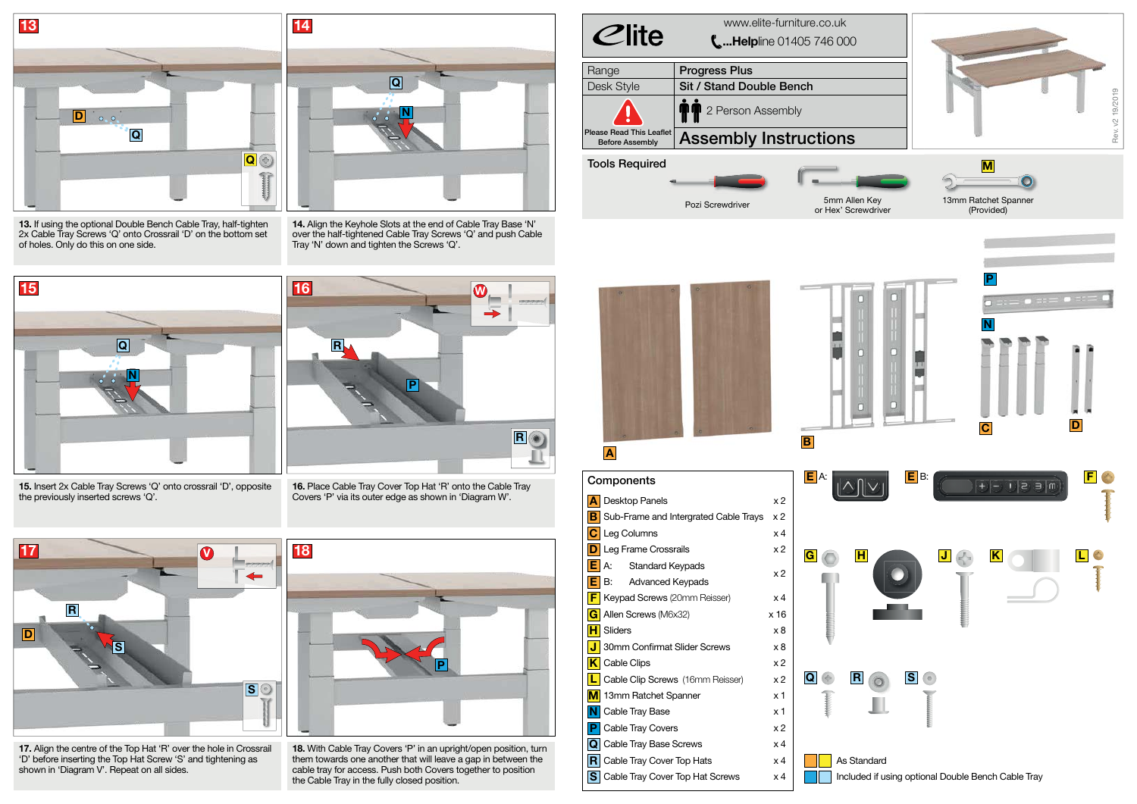| $C$ lite                                                  | www.elite-furniture.co.uk<br>$\mathbf{L}$ Helpline 01405 746 000 |
|-----------------------------------------------------------|------------------------------------------------------------------|
| Range                                                     | <b>Progress Plus</b>                                             |
| <b>Desk Style</b>                                         | <b>Sit / Stand Double Bench</b>                                  |
|                                                           | 2 Person Assembly                                                |
| <b>Please Read This Leaflet</b><br><b>Before Assembly</b> | <b>Assembly Instructions</b>                                     |
| <b>Tools Required</b>                                     |                                                                  |
|                                                           | 5mm Aller<br>Pozi Screwdriver<br>or Hex' Scre                    |



**As Standard** Included if using optional Double Bench Cable Tray



**B**

**17.** Align the centre of the Top Hat 'R' over the hole in Crossrail 'D' before inserting the Top Hat Screw 'S' and tightening as shown in 'Diagram V'. Repeat on all sides.



**13.** If using the optional Double Bench Cable Tray, half-tighten 2x Cable Tray Screws 'Q' onto Crossrail 'D' on the bottom set of holes. Only do this on one side.

**14.** Align the Keyhole Slots at the end of Cable Tray Base 'N' over the half-tightened Cable Tray Screws 'Q' and push Cable Tray 'N' down and tighten the Screws 'Q'.



**N Q**



**15.** Insert 2x Cable Tray Screws 'Q' onto crossrail 'D', opposite the previously inserted screws 'Q'.



**16.** Place Cable Tray Cover Top Hat 'R' onto the Cable Tray Covers 'P' via its outer edge as shown in 'Diagram W'.



**18.** With Cable Tray Covers 'P' in an upright/open position, turn them towards one another that will leave a gap in between the cable tray for access. Push both Covers together to position the Cable Tray in the fully closed position.